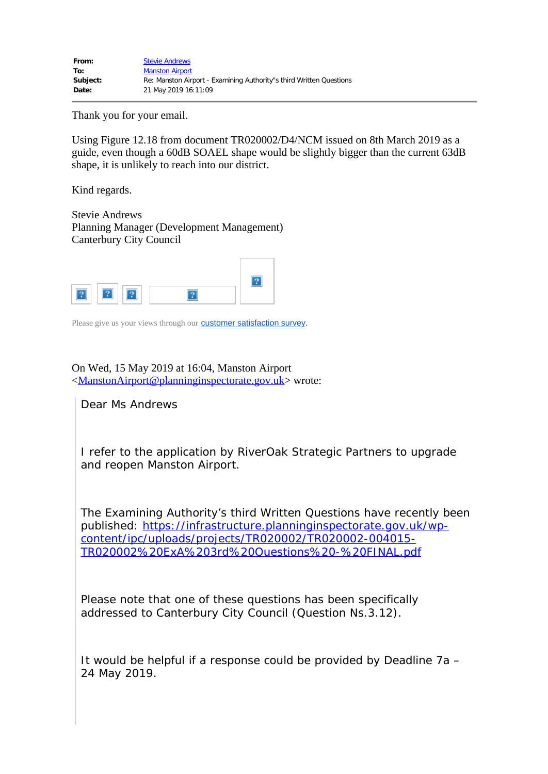Thank you for your email.

Using Figure 12.18 from document TR020002/D4/NCM issued on 8th March 2019 as a guide, even though a 60dB SOAEL shape would be slightly bigger than the current 63dB shape, it is unlikely to reach into our district.

Kind regards.

Stevie Andrews Planning Manager (Development Management) Canterbury City Council



Please give us your views through our **[customer satisfaction survey](https://www.canterbury.gov.uk/css)**.

On Wed, 15 May 2019 at 16:04, Manston Airport

<[ManstonAirport@planninginspectorate.gov.uk](mailto:ManstonAirport@planninginspectorate.gov.uk)> wrote:

Dear Ms Andrews

I refer to the application by RiverOak Strategic Partners to upgrade and reopen Manston Airport.

The Examining Authority's third Written Questions have recently been published: [https://infrastructure.planninginspectorate.gov.uk/wp](https://infrastructure.planninginspectorate.gov.uk/wp-content/ipc/uploads/projects/TR020002/TR020002-004015-TR020002%20ExA%203rd%20Questions%20-%20FINAL.pdf)[content/ipc/uploads/projects/TR020002/TR020002-004015-](https://infrastructure.planninginspectorate.gov.uk/wp-content/ipc/uploads/projects/TR020002/TR020002-004015-TR020002%20ExA%203rd%20Questions%20-%20FINAL.pdf) [TR020002%20ExA%203rd%20Questions%20-%20FINAL.pdf](https://infrastructure.planninginspectorate.gov.uk/wp-content/ipc/uploads/projects/TR020002/TR020002-004015-TR020002%20ExA%203rd%20Questions%20-%20FINAL.pdf)

Please note that one of these questions has been specifically addressed to Canterbury City Council (Question Ns.3.12).

It would be helpful if a response could be provided by Deadline 7a – 24 May 2019.